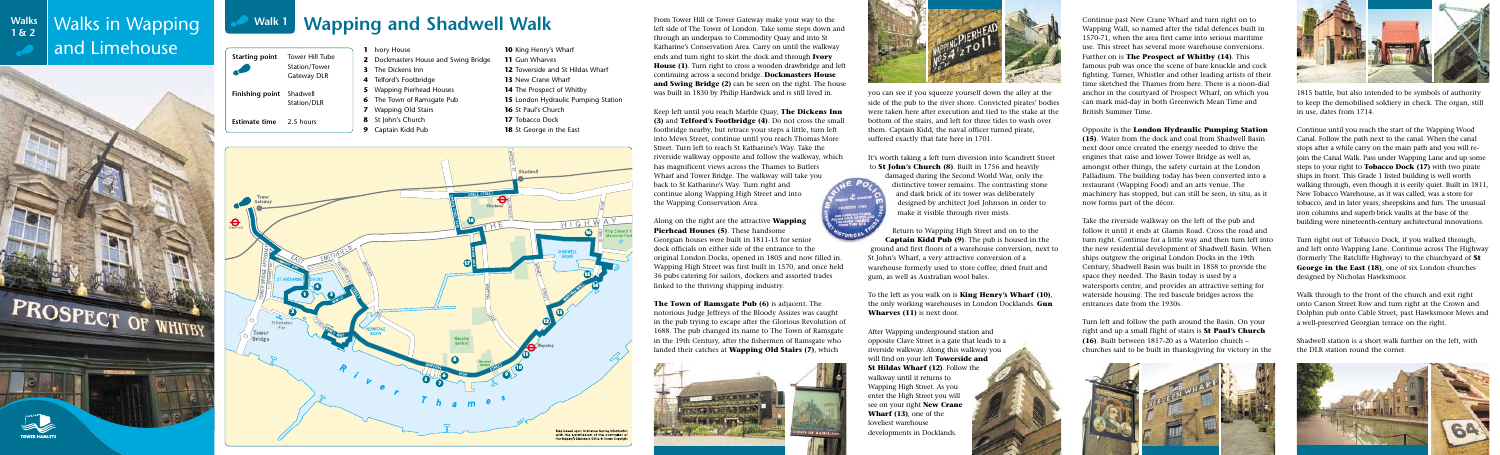left side of The Tower of London. Take some steps down and through an underpass to Commodity Quay and into St Katharine's Conservation Area. Carry on until the walkway ends and turn right to skirt the dock and through **Ivory House (1)**. Turn right to cross a wooden drawbridge and left continuing across a second bridge. **Dockmasters House and Swing Bridge (2)** can be seen on the right. The house was built in 1830 by Philip Hardwick and is still lived in.

Keep left until you reach Marble Quay, **The Dickens Inn (3)** and **Telford's Footbridge (4)**. Do not cross the small footbridge nearby, but retrace your steps a little, turn left into Mews Street, continue until you reach Thomas More Street. Turn left to reach St Katharine's Way. Take the riverside walkway opposite and follow the walkway, which has magnificent views across the Thames to Butlers Wharf and Tower Bridge. The walkway will take you back to St Katharine's Way. Turn right and continue along Wapping High Street and into the Wapping Conservation Area.





Along on the right are the attractive **Wapping Pierhead Houses (5)**. These handsome Georgian houses were built in 1811-13 for senior dock officials on either side of the entrance to the original London Docks, opened in 1805 and now filled in. Wapping High Street was first built in 1570, and once held 36 pubs catering for sailors, dockers and assorted trades linked to the thriving shipping industry.

**The Town of Ramsgate Pub (6)** is adjacent. The notorious Judge Jeffreys of the Bloody Assizes was caught in the pub trying to escape after the Glorious Revolution of 1688. The pub changed its name to The Town of Ramsgate in the 19th Century, after the fishermen of Ramsgate who landed their catches at **Wapping Old Stairs (7)**, which



you can see if you squeeze yourself down the alley at the side of the pub to the river shore. Convicted pirates' bodies were taken here after execution and tied to the stake at the bottom of the stairs, and left for three tides to wash over them. Captain Kidd, the naval officer turned pirate, suffered exactly that fate here in 1701.

It's worth taking a left turn diversion into Scandrett Street to **St John's Church (8)**. Built in 1756 and heavily

damaged during the Second World War, only the distinctive tower remains. The contrasting stone and dark brick of its tower was deliberately designed by architect Joel Johnson in order to make it visible through river mists.

Return to Wapping High Street and on to the **Captain Kidd Pub (9)**. The pub is housed in the ground and first floors of a warehouse conversion, next to St John's Wharf, a very attractive conversion of a warehouse formerly used to store coffee, dried fruit and gum, as well as Australian wool bales.

To the left as you walk on is **King Henry's Wharf (10)**, the only working warehouses in London Docklands. **Gun Wharves (11)** is next door.

After Wapping underground station and opposite Clave Street is a gate that leads to a riverside walkway. Along this walkway you will find on your left **Towerside and St Hildas Wharf (12)**. Follow the walkway until it returns to Wapping High Street. As you enter the High Street you will see on your right **New Crane Wharf (13)**, one of the loveliest warehouse developments in Docklands.

#### **Wapping and Shadwell Walk** From Tower Hill or Tower Gateway make your way to the left side of The Tower of London. Take some steps down an **Walk 1**

Continue past New Crane Wharf and turn right on to Wapping Wall, so named after the tidal defences built in 1570-71, when the area first came into serious maritime use. This street has several more warehouse conversions. Further on is **The Prospect of Whitby (14)**. This famous pub was once the scene of bare knuckle and cock fighting. Turner, Whistler and other leading artists of their time sketched the Thames from here. There is a noon-dial anchor in the courtyard of Prospect Wharf, on which you can mark mid-day in both Greenwich Mean Time and British Summer Time.

Opposite is the **London Hydraulic Pumping Station (15)**. Water from the dock and coal from Shadwell Basin next door once created the energy needed to drive the engines that raise and lower Tower Bridge as well as, amongst other things, the safety curtain at the London Palladium. The building today has been converted into a restaurant (Wapping Food) and an arts venue. The machinery has stopped, but can still be seen, in situ, as it now forms part of the décor.

Take the riverside walkway on the left of the pub and follow it until it ends at Glamis Road. Cross the road and turn right. Continue for a little way and then turn left into the new residential development of Shadwell Basin. When ships outgrew the original London Docks in the 19th Century, Shadwell Basin was built in 1858 to provide the space they needed. The Basin today is used by a watersports centre, and provides an attractive setting for waterside housing. The red bascule bridges across the entrances date from the 1930s.

Turn left and follow the path around the Basin. On your right and up a small flight of stairs is **St Paul's Church (16)**. Built between 1817-20 as a Waterloo church – churches said to be built in thanksgiving for victory in the





1815 battle, but also intended to be symbols of authority to keep the demobilised soldiery in check. The organ, still in use, dates from 1714.

Continue until you reach the start of the Wapping Wood Canal. Follow the path next to the canal. When the canal stops after a while carry on the main path and you will rejoin the Canal Walk. Pass under Wapping Lane and up some steps to your right to **Tobacco Dock (17)** with two pirate ships in front. This Grade 1 listed building is well worth walking through, even though it is eerily quiet. Built in 1811, New Tobacco Warehouse, as it was called, was a store for tobacco, and in later years, sheepskins and furs. The unusual iron columns and superb brick vaults at the base of the building were nineteenth-century architectural innovations.

Turn right out of Tobacco Dock, if you walked through, and left onto Wapping Lane. Continue across The Highway (formerly The Ratcliffe Highway) to the churchyard of **St George in the East (18)**, one of six London churches designed by Nicholas Hawksmoor.

Walk through to the front of the church and exit right onto Canon Street Row and turn right at the Crown and Dolphin pub onto Cable Street, past Hawksmoor Mews and a well-preserved Georgian terrace on the right.

Shadwell station is a short walk further on the left, with the DLR station round the corner.





 King Henry's Wharf Gun Wharves Towerside and St Hildas Wharf New Crane Wharf The Prospect of Whitby London Hydraulic Pumping Station St Paul's Church Tobacco Dock St George in the East



#### Walks in Wapping and Limehouse **Walks 1 & 2**